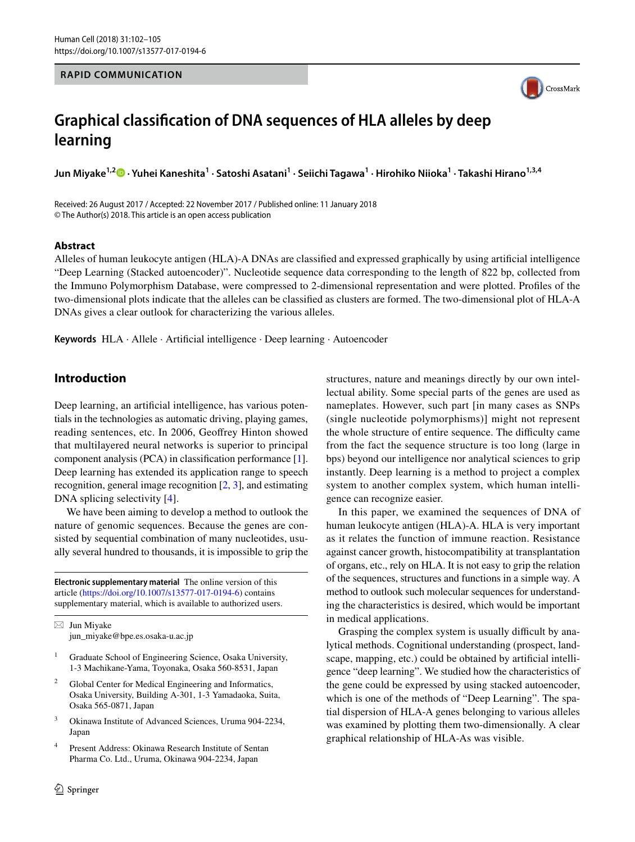#### **RAPID COMMUNICATION**



# **Graphical classifcation of DNA sequences of HLA alleles by deep learning**

**Jun Miyake1,2 · Yuhei Kaneshita1 · Satoshi Asatani1 · Seiichi Tagawa1 · Hirohiko Niioka1 · Takashi Hirano1,3,4**

Received: 26 August 2017 / Accepted: 22 November 2017 / Published online: 11 January 2018 © The Author(s) 2018. This article is an open access publication

#### **Abstract**

Alleles of human leukocyte antigen (HLA)-A DNAs are classifed and expressed graphically by using artifcial intelligence "Deep Learning (Stacked autoencoder)". Nucleotide sequence data corresponding to the length of 822 bp, collected from the Immuno Polymorphism Database, were compressed to 2-dimensional representation and were plotted. Profles of the two-dimensional plots indicate that the alleles can be classifed as clusters are formed. The two-dimensional plot of HLA-A DNAs gives a clear outlook for characterizing the various alleles.

**Keywords** HLA · Allele · Artifcial intelligence · Deep learning · Autoencoder

# **Introduction**

Deep learning, an artifcial intelligence, has various potentials in the technologies as automatic driving, playing games, reading sentences, etc. In 2006, Geofrey Hinton showed that multilayered neural networks is superior to principal component analysis (PCA) in classifcation performance [\[1](#page-3-0)]. Deep learning has extended its application range to speech recognition, general image recognition [[2,](#page-3-1) [3](#page-3-2)], and estimating DNA splicing selectivity [[4](#page-3-3)].

We have been aiming to develop a method to outlook the nature of genomic sequences. Because the genes are consisted by sequential combination of many nucleotides, usually several hundred to thousands, it is impossible to grip the

**Electronic supplementary material** The online version of this article [\(https://doi.org/10.1007/s13577-017-0194-6\)](https://doi.org/10.1007/s13577-017-0194-6) contains supplementary material, which is available to authorized users.

 $\boxtimes$  Jun Miyake jun\_miyake@bpe.es.osaka-u.ac.jp

- <sup>1</sup> Graduate School of Engineering Science, Osaka University, 1-3 Machikane-Yama, Toyonaka, Osaka 560-8531, Japan
- <sup>2</sup> Global Center for Medical Engineering and Informatics, Osaka University, Building A-301, 1-3 Yamadaoka, Suita, Osaka 565-0871, Japan
- <sup>3</sup> Okinawa Institute of Advanced Sciences, Uruma 904-2234, Japan
- <sup>4</sup> Present Address: Okinawa Research Institute of Sentan Pharma Co. Ltd., Uruma, Okinawa 904-2234, Japan

structures, nature and meanings directly by our own intellectual ability. Some special parts of the genes are used as nameplates. However, such part [in many cases as SNPs (single nucleotide polymorphisms)] might not represent the whole structure of entire sequence. The difficulty came from the fact the sequence structure is too long (large in bps) beyond our intelligence nor analytical sciences to grip instantly. Deep learning is a method to project a complex system to another complex system, which human intelligence can recognize easier.

In this paper, we examined the sequences of DNA of human leukocyte antigen (HLA)-A. HLA is very important as it relates the function of immune reaction. Resistance against cancer growth, histocompatibility at transplantation of organs, etc., rely on HLA. It is not easy to grip the relation of the sequences, structures and functions in a simple way. A method to outlook such molecular sequences for understanding the characteristics is desired, which would be important in medical applications.

Grasping the complex system is usually difficult by analytical methods. Cognitional understanding (prospect, landscape, mapping, etc.) could be obtained by artifcial intelligence "deep learning". We studied how the characteristics of the gene could be expressed by using stacked autoencoder, which is one of the methods of "Deep Learning". The spatial dispersion of HLA-A genes belonging to various alleles was examined by plotting them two-dimensionally. A clear graphical relationship of HLA-As was visible.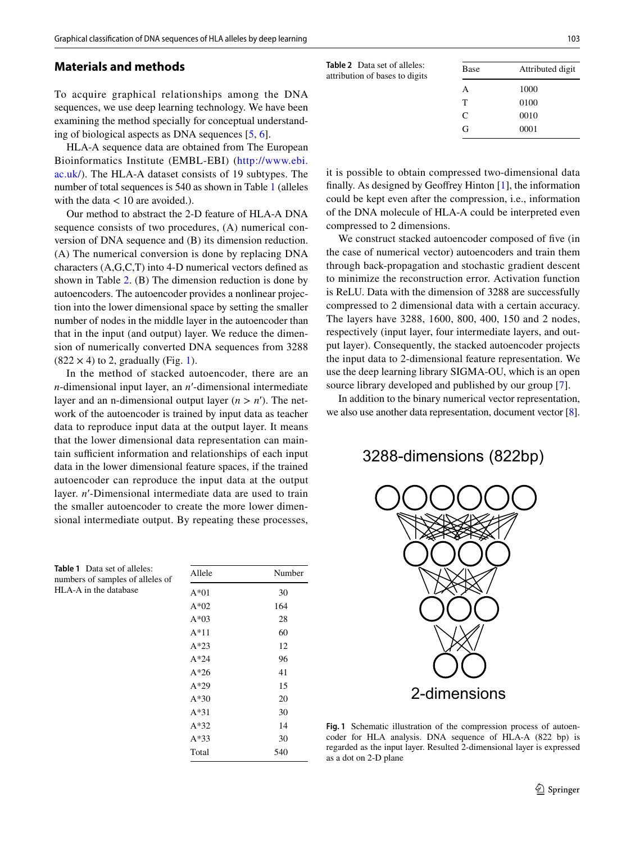#### **Materials and methods**

To acquire graphical relationships among the DNA sequences, we use deep learning technology. We have been examining the method specially for conceptual understanding of biological aspects as DNA sequences [\[5](#page-3-4), [6](#page-3-5)].

HLA-A sequence data are obtained from The European Bioinformatics Institute (EMBL-EBI) ([http://www.ebi.](http://www.ebi.ac.uk/) [ac.uk/](http://www.ebi.ac.uk/)). The HLA-A dataset consists of 19 subtypes. The number of total sequences is 540 as shown in Table [1](#page-1-0) (alleles with the data  $< 10$  are avoided.).

Our method to abstract the 2-D feature of HLA-A DNA sequence consists of two procedures, (A) numerical conversion of DNA sequence and (B) its dimension reduction. (A) The numerical conversion is done by replacing DNA characters (A,G,C,T) into 4-D numerical vectors defned as shown in Table [2](#page-1-1). (B) The dimension reduction is done by autoencoders. The autoencoder provides a nonlinear projection into the lower dimensional space by setting the smaller number of nodes in the middle layer in the autoencoder than that in the input (and output) layer. We reduce the dimension of numerically converted DNA sequences from 3288  $(822 \times 4)$  to 2, gradually (Fig. [1](#page-1-2)).

In the method of stacked autoencoder, there are an *n*-dimensional input layer, an *n*′-dimensional intermediate layer and an n-dimensional output layer  $(n > n')$ . The network of the autoencoder is trained by input data as teacher data to reproduce input data at the output layer. It means that the lower dimensional data representation can maintain sufficient information and relationships of each input data in the lower dimensional feature spaces, if the trained autoencoder can reproduce the input data at the output layer. *n*′-Dimensional intermediate data are used to train the smaller autoencoder to create the more lower dimensional intermediate output. By repeating these processes,

<span id="page-1-0"></span>**Table 1** Data set of alleles: numbers of samples of alleles of HLA-A in the database

| Allele | Number |
|--------|--------|
| $A*01$ | 30     |
| $A*02$ | 164    |
| $A*03$ | 28     |
| $A*11$ | 60     |
| $A*23$ | 12     |
| $A*24$ | 96     |
| $A*26$ | 41     |
| $A*29$ | 15     |
| $A*30$ | 20     |
| $A*31$ | 30     |
| $A*32$ | 14     |
| $A*33$ | 30     |
| Total  | 540    |

<span id="page-1-1"></span>

| <b>Table 2</b> Data set of alleles:<br>attribution of bases to digits | Base | Attributed digit |
|-----------------------------------------------------------------------|------|------------------|
|                                                                       | A    | 1000             |
|                                                                       | т    | 0100             |
|                                                                       | C    | 0010             |
|                                                                       | G    | 0001             |
|                                                                       |      |                  |

it is possible to obtain compressed two-dimensional data fnally. As designed by Geofrey Hinton [[1\]](#page-3-0), the information could be kept even after the compression, i.e., information of the DNA molecule of HLA-A could be interpreted even compressed to 2 dimensions.

We construct stacked autoencoder composed of five (in the case of numerical vector) autoencoders and train them through back-propagation and stochastic gradient descent to minimize the reconstruction error. Activation function is ReLU. Data with the dimension of 3288 are successfully compressed to 2 dimensional data with a certain accuracy. The layers have 3288, 1600, 800, 400, 150 and 2 nodes, respectively (input layer, four intermediate layers, and output layer). Consequently, the stacked autoencoder projects the input data to 2-dimensional feature representation. We use the deep learning library SIGMA-OU, which is an open source library developed and published by our group [[7\]](#page-3-6).

In addition to the binary numerical vector representation, we also use another data representation, document vector [[8\]](#page-3-7).

3288-dimensions (822bp)



<span id="page-1-2"></span>**Fig. 1** Schematic illustration of the compression process of autoencoder for HLA analysis. DNA sequence of HLA-A (822 bp) is regarded as the input layer. Resulted 2-dimensional layer is expressed as a dot on 2-D plane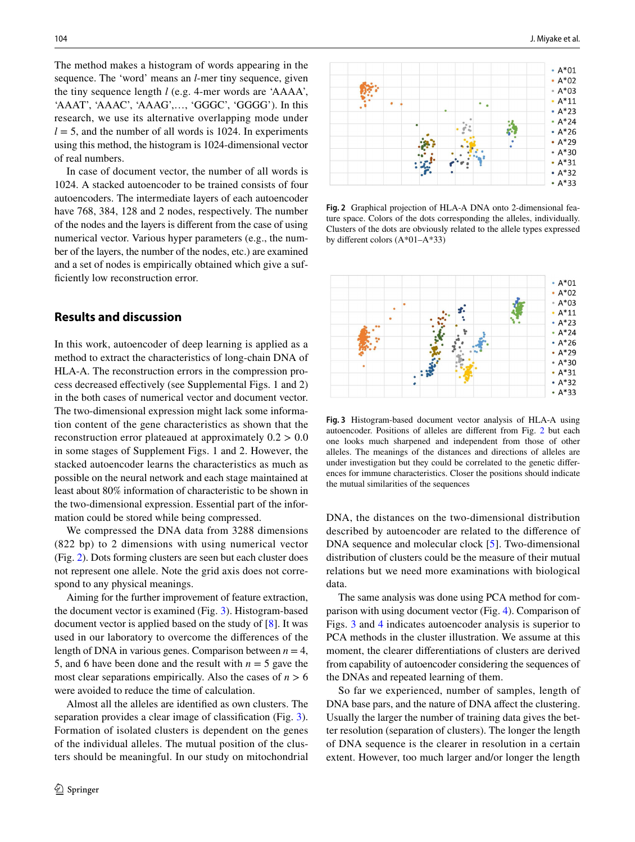The method makes a histogram of words appearing in the sequence. The 'word' means an *l*-mer tiny sequence, given the tiny sequence length *l* (e.g. 4-mer words are 'AAAA', 'AAAT', 'AAAC', 'AAAG',…, 'GGGC', 'GGGG'). In this research, we use its alternative overlapping mode under  $l = 5$ , and the number of all words is 1024. In experiments using this method, the histogram is 1024-dimensional vector of real numbers.

In case of document vector, the number of all words is 1024. A stacked autoencoder to be trained consists of four autoencoders. The intermediate layers of each autoencoder have 768, 384, 128 and 2 nodes, respectively. The number of the nodes and the layers is diferent from the case of using numerical vector. Various hyper parameters (e.g., the number of the layers, the number of the nodes, etc.) are examined and a set of nodes is empirically obtained which give a sufficiently low reconstruction error.

### **Results and discussion**

In this work, autoencoder of deep learning is applied as a method to extract the characteristics of long-chain DNA of HLA-A. The reconstruction errors in the compression process decreased efectively (see Supplemental Figs. 1 and 2) in the both cases of numerical vector and document vector. The two-dimensional expression might lack some information content of the gene characteristics as shown that the reconstruction error plateaued at approximately  $0.2 > 0.0$ in some stages of Supplement Figs. 1 and 2. However, the stacked autoencoder learns the characteristics as much as possible on the neural network and each stage maintained at least about 80% information of characteristic to be shown in the two-dimensional expression. Essential part of the information could be stored while being compressed.

We compressed the DNA data from 3288 dimensions (822 bp) to 2 dimensions with using numerical vector (Fig. [2](#page-2-0)). Dots forming clusters are seen but each cluster does not represent one allele. Note the grid axis does not correspond to any physical meanings.

Aiming for the further improvement of feature extraction, the document vector is examined (Fig. [3](#page-2-1)). Histogram-based document vector is applied based on the study of [[8](#page-3-7)]. It was used in our laboratory to overcome the diferences of the length of DNA in various genes. Comparison between  $n = 4$ , 5, and 6 have been done and the result with  $n = 5$  gave the most clear separations empirically. Also the cases of  $n > 6$ were avoided to reduce the time of calculation.

Almost all the alleles are identifed as own clusters. The separation provides a clear image of classifcation (Fig. [3](#page-2-1)). Formation of isolated clusters is dependent on the genes of the individual alleles. The mutual position of the clusters should be meaningful. In our study on mitochondrial



<span id="page-2-0"></span>**Fig. 2** Graphical projection of HLA-A DNA onto 2-dimensional feature space. Colors of the dots corresponding the alleles, individually. Clusters of the dots are obviously related to the allele types expressed by diferent colors (A\*01–A\*33)



<span id="page-2-1"></span>**Fig. 3** Histogram-based document vector analysis of HLA-A using autoencoder. Positions of alleles are diferent from Fig. [2](#page-2-0) but each one looks much sharpened and independent from those of other alleles. The meanings of the distances and directions of alleles are under investigation but they could be correlated to the genetic diferences for immune characteristics. Closer the positions should indicate the mutual similarities of the sequences

DNA, the distances on the two-dimensional distribution described by autoencoder are related to the diference of DNA sequence and molecular clock [[5\]](#page-3-4). Two-dimensional distribution of clusters could be the measure of their mutual relations but we need more examinations with biological data.

The same analysis was done using PCA method for comparison with using document vector (Fig. [4\)](#page-3-8). Comparison of Figs. [3](#page-2-1) and [4](#page-3-8) indicates autoencoder analysis is superior to PCA methods in the cluster illustration. We assume at this moment, the clearer diferentiations of clusters are derived from capability of autoencoder considering the sequences of the DNAs and repeated learning of them.

So far we experienced, number of samples, length of DNA base pars, and the nature of DNA affect the clustering. Usually the larger the number of training data gives the better resolution (separation of clusters). The longer the length of DNA sequence is the clearer in resolution in a certain extent. However, too much larger and/or longer the length